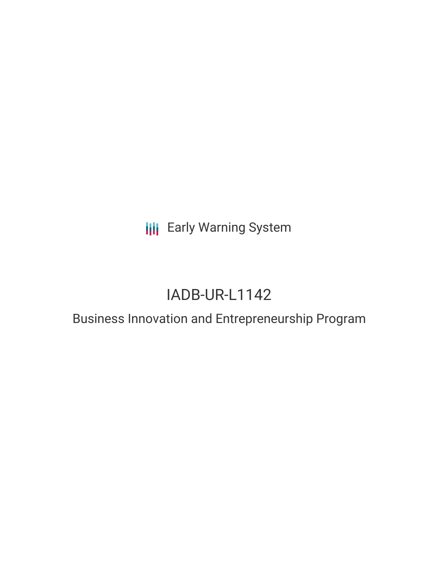**III** Early Warning System

# IADB-UR-L1142

## Business Innovation and Entrepreneurship Program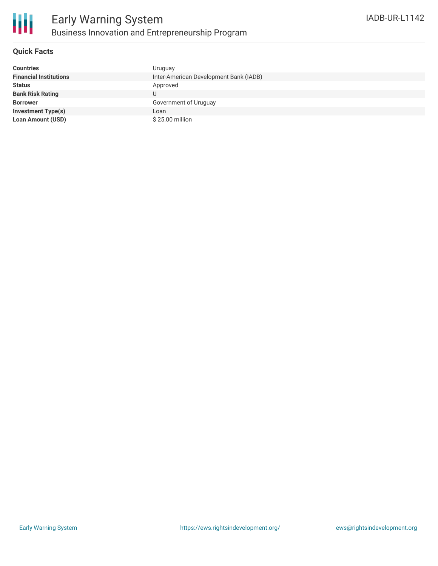

### **Quick Facts**

| <b>Countries</b>              | Uruguay                                |
|-------------------------------|----------------------------------------|
| <b>Financial Institutions</b> | Inter-American Development Bank (IADB) |
| <b>Status</b>                 | Approved                               |
| <b>Bank Risk Rating</b>       |                                        |
| <b>Borrower</b>               | Government of Uruguay                  |
| <b>Investment Type(s)</b>     | Loan                                   |
| <b>Loan Amount (USD)</b>      | \$25.00 million                        |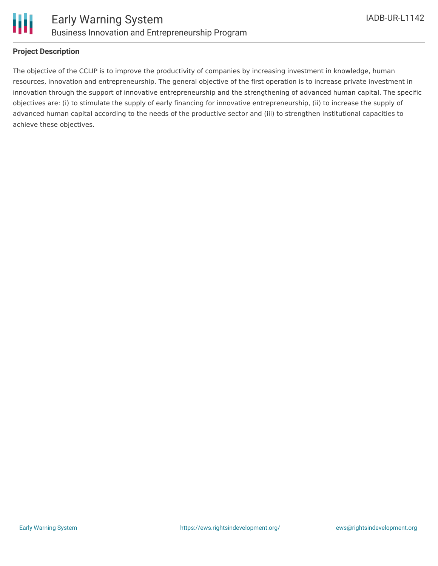

### **Project Description**

The objective of the CCLIP is to improve the productivity of companies by increasing investment in knowledge, human resources, innovation and entrepreneurship. The general objective of the first operation is to increase private investment in innovation through the support of innovative entrepreneurship and the strengthening of advanced human capital. The specific objectives are: (i) to stimulate the supply of early financing for innovative entrepreneurship, (ii) to increase the supply of advanced human capital according to the needs of the productive sector and (iii) to strengthen institutional capacities to achieve these objectives.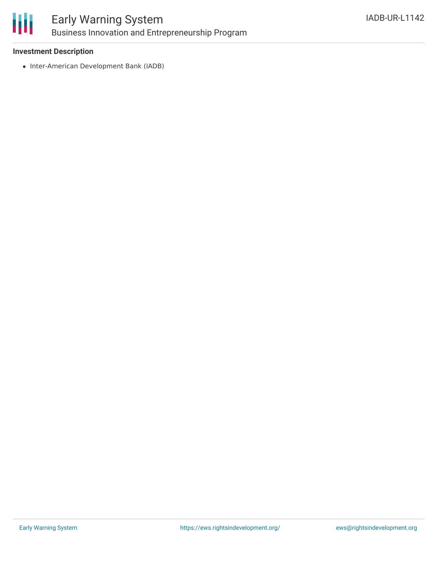

### Early Warning System Business Innovation and Entrepreneurship Program

#### **Investment Description**

• Inter-American Development Bank (IADB)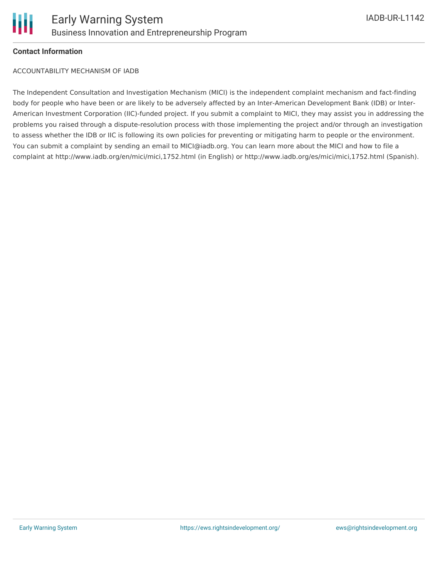

### **Contact Information**

ACCOUNTABILITY MECHANISM OF IADB

The Independent Consultation and Investigation Mechanism (MICI) is the independent complaint mechanism and fact-finding body for people who have been or are likely to be adversely affected by an Inter-American Development Bank (IDB) or Inter-American Investment Corporation (IIC)-funded project. If you submit a complaint to MICI, they may assist you in addressing the problems you raised through a dispute-resolution process with those implementing the project and/or through an investigation to assess whether the IDB or IIC is following its own policies for preventing or mitigating harm to people or the environment. You can submit a complaint by sending an email to MICI@iadb.org. You can learn more about the MICI and how to file a complaint at http://www.iadb.org/en/mici/mici,1752.html (in English) or http://www.iadb.org/es/mici/mici,1752.html (Spanish).